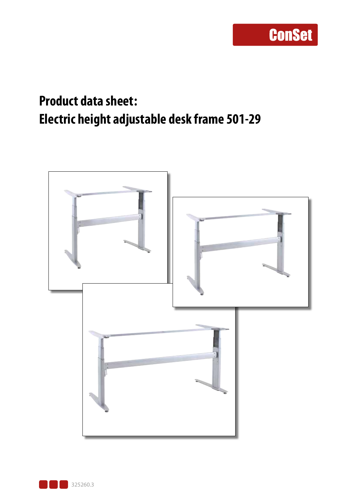### **Product data sheet: Electric height adjustable desk frame 501-29**



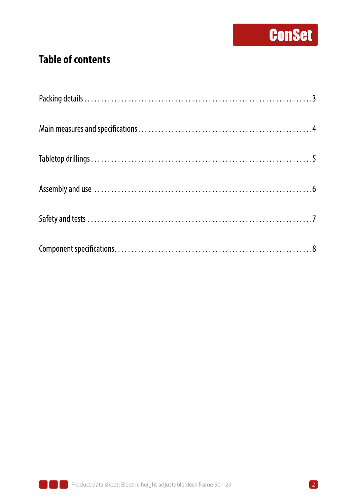#### **Table of contents**

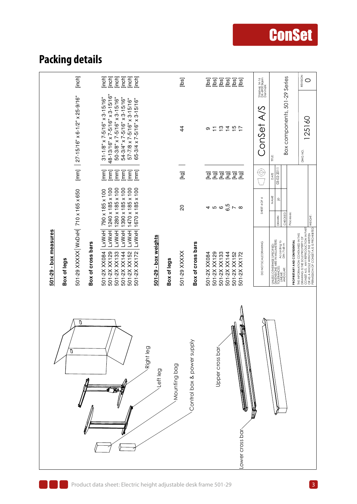### **Packing details**

| [inch]<br>[mm] $ 27-15/16" \times 6-1/2" \times 25-9/16"$                                       | [inch]<br>[inch]<br>[inch]<br>[inch]<br>[inch]<br>[inch]<br>48-13/16" x 7-5/16" x 3-15/16"<br>$31 - 1/8" \times 7 - 5/16" \times 3 - 15/16"$<br>50-3/8" x 7-5/16" x 3-15/16"<br>54-3/4" x 7-5/16" x 3-15/16"<br>$57 - 7/8 \times 7 - 5/16$ " $\times 3 - 15/16$ "<br>65-3/4 x 7-5/16" x 3-15/16" | [bs]<br>$\overline{4}$                              | [lbs]<br>isql<br>[bs]<br>[bs]<br>[lbs]<br>[lbs<br>ဗ္<br>$\begin{array}{c}\n\uparrow \\ \downarrow \\ \downarrow \\ \downarrow \\ \downarrow\n\end{array}$<br>Ξ<br>თ | Staalvej 14-16<br>DK-6900 Skjern<br>Denmark<br>ConSet A/S | REVISION<br>Box components, 501-29 Series<br>0<br>125160<br>DWG NO.<br>Ë                                                                                                                       |
|-------------------------------------------------------------------------------------------------|--------------------------------------------------------------------------------------------------------------------------------------------------------------------------------------------------------------------------------------------------------------------------------------------------|-----------------------------------------------------|---------------------------------------------------------------------------------------------------------------------------------------------------------------------|-----------------------------------------------------------|------------------------------------------------------------------------------------------------------------------------------------------------------------------------------------------------|
|                                                                                                 | [mm]<br>$\lceil mm \rceil$<br>$\boxed{\text{mm}}$<br>$\boxed{\text{mm}}$<br>$\lceil \mathsf{mm} \rceil$<br>$\lceil \mathsf{mm} \rceil$                                                                                                                                                           | [kg]                                                | 조조조조조<br><b>lox</b>                                                                                                                                                 | $\Theta$                                                  | 03-02-201<br>DATE                                                                                                                                                                              |
|                                                                                                 | 1280 x 185 x 100<br>1390 x 185 x 100<br>1470 x 185 x 100<br>1670 x 185 x 100<br>1240 x 185 x 100<br>790 x 185 x 100                                                                                                                                                                              | 20                                                  | 4 10 10 <mark>10</mark> 17 10                                                                                                                                       | SHEET 4 OF 4                                              | NAME<br>$\overline{a}$<br>Processes:<br>CHECKED<br>WEIGHT:<br>DRAWN                                                                                                                            |
| 501-29 XXXXX WxDxH 710 x 165 x 650<br>501-29 - box measures<br>Box of cross bars<br>Box of legs | LxWxH<br><b>LxWxH</b><br><b>LXWXH</b><br><b>LxWxH</b><br>LxWxH<br><b>LxWxH</b><br>501-2X XX084<br>501-2X XX129<br>501-2X XX152<br>501-2X XX172<br>501-2X XX133<br>501-2X XX144                                                                                                                   | 501-29 - box weights<br>501-29 XXXXX<br>Box of legs | Box of cross bars<br>501-2X XX129<br>501-2X XX144<br>501-2X XX152<br>501-2X XX084<br>501-2X XX133<br>501-2X XX172                                                   | DO NOT SCALE DRAWING                                      | DRAWING IS THE SOLE PROPERTY OF<br>CONSET A/S. ANY REPRODUCTION IN PART<br>PERMISSION OF CONSET A/S IS PROHIBITED.<br>THE INFORMATION CONTAINED IN THIS<br><b>PROPRIETARY AND CONFIDENTIAL</b> |
| O                                                                                               |                                                                                                                                                                                                                                                                                                  | Right leg<br>Mounting bag<br>Left leg               | Î<br>Control box & power supply<br>Upper cross bar<br>ower cross bar                                                                                                |                                                           |                                                                                                                                                                                                |

**ConSet**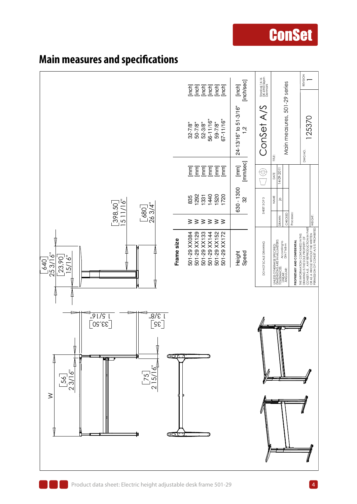

#### **Main measures and specifications**

### **ConSet**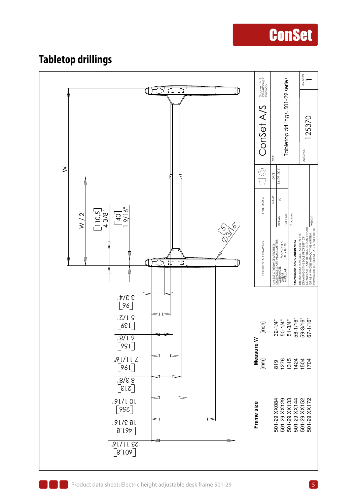#### **Tabletop drillings**

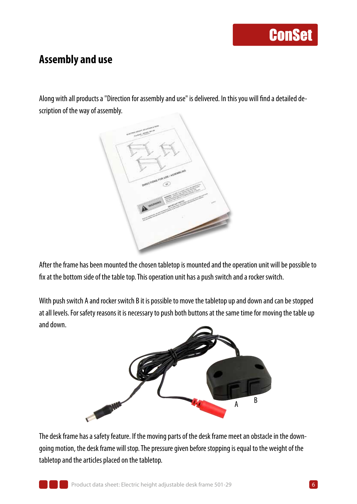#### **Assembly and use**

Along with all products a "Direction for assembly and use" is delivered. In this you will find a detailed description of the way of assembly.



After the frame has been mounted the chosen tabletop is mounted and the operation unit will be possible to fix at the bottom side of the table top. This operation unit has a push switch and a rocker switch.

With push switch A and rocker switch B it is possible to move the tabletop up and down and can be stopped at all levels. For safety reasons it is necessary to push both buttons at the same time for moving the table up and down.



The desk frame has a safety feature. If the moving parts of the desk frame meet an obstacle in the downgoing motion, the desk frame will stop. The pressure given before stopping is equal to the weight of the tabletop and the articles placed on the tabletop.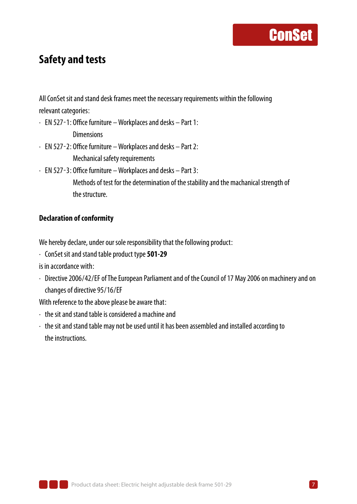#### **Safety and tests**

All ConSet sit and stand desk frames meet the necessary requirements within the following relevant categories:

- ∙ EN 527-1: Office furniture Workplaces and desks Part 1: Dimensions
- ∙ EN 527-2: Office furniture Workplaces and desks Part 2: Mechanical safety requirements
- ∙ EN 527-3: Office furniture Workplaces and desks Part 3:

Methods of test for the determination of the stability and the machanical strength of the structure.

#### **Declaration of conformity**

We hereby declare, under our sole responsibility that the following product:

∙ ConSet sit and stand table product type **501-29**

is in accordance with:

∙ Directive 2006/42/EF of The European Parliament and of the Council of 17 May 2006 on machinery and on changes of directive 95/16/EF

With reference to the above please be aware that:

- ∙ the sit and stand table is considered a machine and
- ∙ the sit and stand table may not be used until it has been assembled and installed according to the instructions.